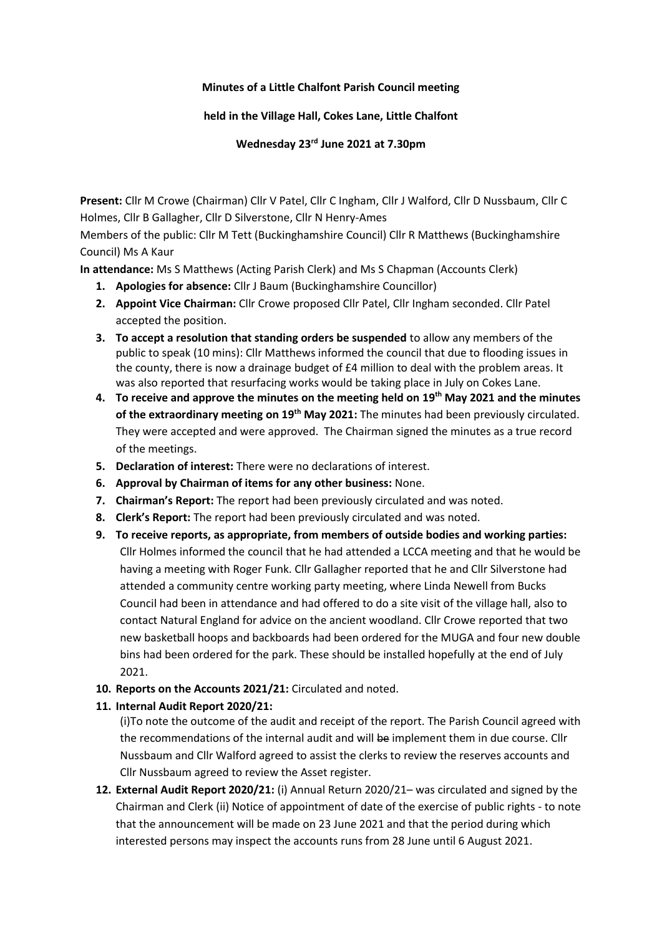## **Minutes of a Little Chalfont Parish Council meeting**

## **held in the Village Hall, Cokes Lane, Little Chalfont**

**Wednesday 23rd June 2021 at 7.30pm**

**Present:** Cllr M Crowe (Chairman) Cllr V Patel, Cllr C Ingham, Cllr J Walford, Cllr D Nussbaum, Cllr C Holmes, Cllr B Gallagher, Cllr D Silverstone, Cllr N Henry-Ames

Members of the public: Cllr M Tett (Buckinghamshire Council) Cllr R Matthews (Buckinghamshire Council) Ms A Kaur

**In attendance:** Ms S Matthews (Acting Parish Clerk) and Ms S Chapman (Accounts Clerk)

- **1. Apologies for absence:** Cllr J Baum (Buckinghamshire Councillor)
- **2. Appoint Vice Chairman:** Cllr Crowe proposed Cllr Patel, Cllr Ingham seconded. Cllr Patel accepted the position.
- **3. To accept a resolution that standing orders be suspended** to allow any members of the public to speak (10 mins): Cllr Matthews informed the council that due to flooding issues in the county, there is now a drainage budget of £4 million to deal with the problem areas. It was also reported that resurfacing works would be taking place in July on Cokes Lane.
- **4. To receive and approve the minutes on the meeting held on 19th May 2021 and the minutes**  of the extraordinary meeting on 19<sup>th</sup> May 2021: The minutes had been previously circulated. They were accepted and were approved. The Chairman signed the minutes as a true record of the meetings.
- **5. Declaration of interest:** There were no declarations of interest.
- **6. Approval by Chairman of items for any other business:** None.
- **7. Chairman's Report:** The report had been previously circulated and was noted.
- **8. Clerk's Report:** The report had been previously circulated and was noted.
- **9. To receive reports, as appropriate, from members of outside bodies and working parties:** Cllr Holmes informed the council that he had attended a LCCA meeting and that he would be having a meeting with Roger Funk. Cllr Gallagher reported that he and Cllr Silverstone had attended a community centre working party meeting, where Linda Newell from Bucks Council had been in attendance and had offered to do a site visit of the village hall, also to contact Natural England for advice on the ancient woodland. Cllr Crowe reported that two new basketball hoops and backboards had been ordered for the MUGA and four new double bins had been ordered for the park. These should be installed hopefully at the end of July 2021.
- **10. Reports on the Accounts 2021/21:** Circulated and noted.

## **11. Internal Audit Report 2020/21:**

(i)To note the outcome of the audit and receipt of the report. The Parish Council agreed with the recommendations of the internal audit and will be implement them in due course. Cllr Nussbaum and Cllr Walford agreed to assist the clerks to review the reserves accounts and Cllr Nussbaum agreed to review the Asset register.

**12. External Audit Report 2020/21:** (i) Annual Return 2020/21– was circulated and signed by the Chairman and Clerk (ii) Notice of appointment of date of the exercise of public rights - to note that the announcement will be made on 23 June 2021 and that the period during which interested persons may inspect the accounts runs from 28 June until 6 August 2021.